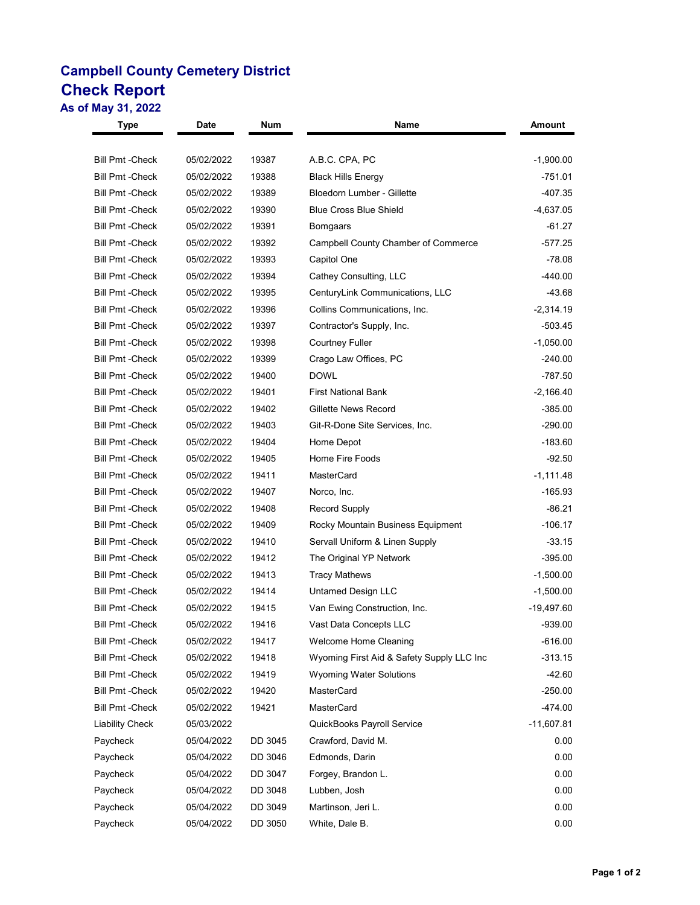## **Campbell County Cemetery District Check Report**

**As of May 31, 2022**

| Type                    | <b>Date</b> | Num     | Name                                      | Amount       |
|-------------------------|-------------|---------|-------------------------------------------|--------------|
| <b>Bill Pmt - Check</b> | 05/02/2022  | 19387   | A.B.C. CPA, PC                            | $-1,900.00$  |
| <b>Bill Pmt -Check</b>  | 05/02/2022  | 19388   | <b>Black Hills Energy</b>                 | -751.01      |
| <b>Bill Pmt - Check</b> | 05/02/2022  | 19389   | Bloedorn Lumber - Gillette                | -407.35      |
| <b>Bill Pmt - Check</b> | 05/02/2022  | 19390   | <b>Blue Cross Blue Shield</b>             | -4,637.05    |
| <b>Bill Pmt - Check</b> | 05/02/2022  | 19391   | Bomgaars                                  | $-61.27$     |
| <b>Bill Pmt - Check</b> | 05/02/2022  | 19392   | Campbell County Chamber of Commerce       | $-577.25$    |
| <b>Bill Pmt - Check</b> | 05/02/2022  | 19393   | Capitol One                               | $-78.08$     |
| <b>Bill Pmt - Check</b> | 05/02/2022  | 19394   | Cathey Consulting, LLC                    | $-440.00$    |
| <b>Bill Pmt - Check</b> | 05/02/2022  | 19395   | CenturyLink Communications, LLC           | -43.68       |
| <b>Bill Pmt - Check</b> | 05/02/2022  | 19396   | Collins Communications, Inc.              | $-2,314.19$  |
| <b>Bill Pmt - Check</b> | 05/02/2022  | 19397   | Contractor's Supply, Inc.                 | $-503.45$    |
| <b>Bill Pmt - Check</b> | 05/02/2022  | 19398   | <b>Courtney Fuller</b>                    | $-1,050.00$  |
| <b>Bill Pmt - Check</b> | 05/02/2022  | 19399   | Crago Law Offices, PC                     | $-240.00$    |
| <b>Bill Pmt - Check</b> | 05/02/2022  | 19400   | <b>DOWL</b>                               | -787.50      |
| <b>Bill Pmt -Check</b>  | 05/02/2022  | 19401   | <b>First National Bank</b>                | $-2,166.40$  |
| <b>Bill Pmt -Check</b>  | 05/02/2022  | 19402   | Gillette News Record                      | $-385.00$    |
| <b>Bill Pmt - Check</b> | 05/02/2022  | 19403   | Git-R-Done Site Services, Inc.            | $-290.00$    |
| <b>Bill Pmt -Check</b>  | 05/02/2022  | 19404   | Home Depot                                | $-183.60$    |
| <b>Bill Pmt - Check</b> | 05/02/2022  | 19405   | Home Fire Foods                           | $-92.50$     |
| <b>Bill Pmt -Check</b>  | 05/02/2022  | 19411   | <b>MasterCard</b>                         | $-1,111.48$  |
| <b>Bill Pmt -Check</b>  | 05/02/2022  | 19407   | Norco, Inc.                               | $-165.93$    |
| <b>Bill Pmt - Check</b> | 05/02/2022  | 19408   | Record Supply                             | $-86.21$     |
| <b>Bill Pmt -Check</b>  | 05/02/2022  | 19409   | Rocky Mountain Business Equipment         | $-106.17$    |
| <b>Bill Pmt - Check</b> | 05/02/2022  | 19410   | Servall Uniform & Linen Supply            | $-33.15$     |
| <b>Bill Pmt -Check</b>  | 05/02/2022  | 19412   | The Original YP Network                   | $-395.00$    |
| <b>Bill Pmt - Check</b> | 05/02/2022  | 19413   | <b>Tracy Mathews</b>                      | $-1,500.00$  |
| <b>Bill Pmt - Check</b> | 05/02/2022  | 19414   | <b>Untamed Design LLC</b>                 | $-1,500.00$  |
| <b>Bill Pmt -Check</b>  | 05/02/2022  | 19415   | Van Ewing Construction, Inc.              | -19,497.60   |
| <b>Bill Pmt -Check</b>  | 05/02/2022  | 19416   | Vast Data Concepts LLC                    | $-939.00$    |
| <b>Bill Pmt - Check</b> | 05/02/2022  | 19417   | Welcome Home Cleaning                     | $-616.00$    |
| <b>Bill Pmt - Check</b> | 05/02/2022  | 19418   | Wyoming First Aid & Safety Supply LLC Inc | $-313.15$    |
| <b>Bill Pmt - Check</b> | 05/02/2022  | 19419   | <b>Wyoming Water Solutions</b>            | $-42.60$     |
| <b>Bill Pmt - Check</b> | 05/02/2022  | 19420   | MasterCard                                | $-250.00$    |
| <b>Bill Pmt - Check</b> | 05/02/2022  | 19421   | MasterCard                                | $-474.00$    |
| Liability Check         | 05/03/2022  |         | QuickBooks Payroll Service                | $-11,607.81$ |
| Paycheck                | 05/04/2022  | DD 3045 | Crawford, David M.                        | 0.00         |
| Paycheck                | 05/04/2022  | DD 3046 | Edmonds, Darin                            | 0.00         |
| Paycheck                | 05/04/2022  | DD 3047 | Forgey, Brandon L.                        | 0.00         |
| Paycheck                | 05/04/2022  | DD 3048 | Lubben, Josh                              | 0.00         |
| Paycheck                | 05/04/2022  | DD 3049 | Martinson, Jeri L.                        | 0.00         |
| Paycheck                | 05/04/2022  | DD 3050 | White, Dale B.                            | 0.00         |